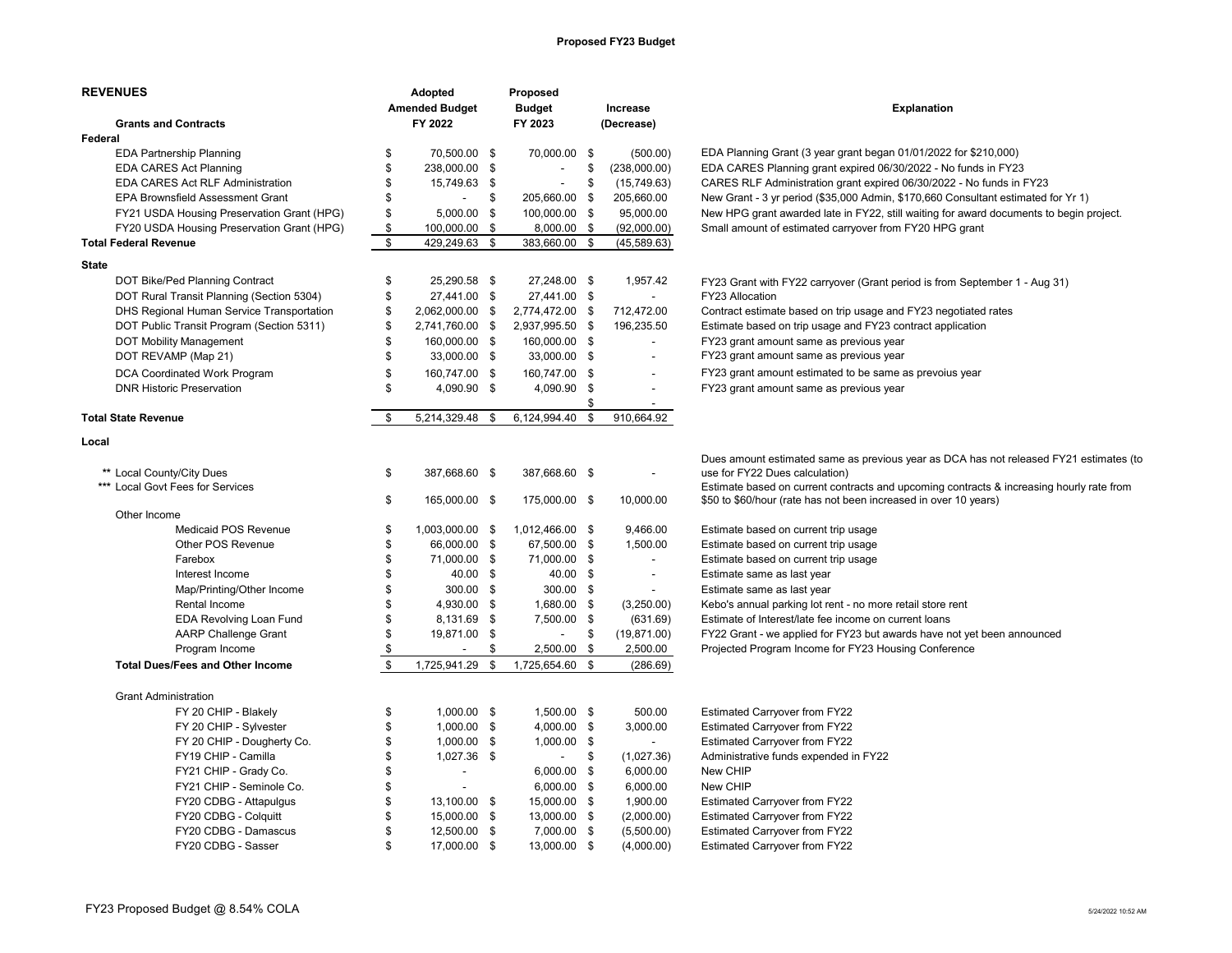## **Proposed FY23 Budget**

| <b>REVENUES</b>                            |                | Adopted                  | Proposed                 |      |                          |                                                                                                                          |  |
|--------------------------------------------|----------------|--------------------------|--------------------------|------|--------------------------|--------------------------------------------------------------------------------------------------------------------------|--|
|                                            |                | <b>Amended Budget</b>    | <b>Budget</b>            |      | Increase                 | <b>Explanation</b>                                                                                                       |  |
| <b>Grants and Contracts</b>                |                | FY 2022                  | FY 2023                  |      | (Decrease)               |                                                                                                                          |  |
| Federal                                    |                |                          |                          |      |                          |                                                                                                                          |  |
| <b>EDA Partnership Planning</b>            | \$             | 70,500.00 \$             | 70,000.00 \$             |      | (500.00)                 | EDA Planning Grant (3 year grant began 01/01/2022 for \$210,000)                                                         |  |
| <b>EDA CARES Act Planning</b>              | \$             | 238,000.00 \$            | $\overline{\phantom{a}}$ | \$   | (238,000.00)             | EDA CARES Planning grant expired 06/30/2022 - No funds in FY23                                                           |  |
| EDA CARES Act RLF Administration           | \$             | 15,749.63 \$             |                          | \$   | (15, 749.63)             | CARES RLF Administration grant expired 06/30/2022 - No funds in FY23                                                     |  |
| EPA Brownsfield Assessment Grant           | \$             | $\sim$                   | \$<br>205,660.00 \$      |      | 205,660.00               | New Grant - 3 yr period (\$35,000 Admin, \$170,660 Consultant estimated for Yr 1)                                        |  |
| FY21 USDA Housing Preservation Grant (HPG) | \$             | 5,000.00                 | \$<br>100,000.00 \$      |      | 95,000.00                | New HPG grant awarded late in FY22, still waiting for award documents to begin project.                                  |  |
| FY20 USDA Housing Preservation Grant (HPG) | \$             | 100,000.00               | \$<br>8,000.00 \$        |      | (92,000.00)              | Small amount of estimated carryover from FY20 HPG grant                                                                  |  |
| <b>Total Federal Revenue</b>               | \$             | 429,249.63               | \$<br>383,660.00 \$      |      | (45, 589.63)             |                                                                                                                          |  |
| <b>State</b>                               |                |                          |                          |      |                          |                                                                                                                          |  |
| DOT Bike/Ped Planning Contract             | \$             | 25,290.58 \$             | 27,248.00 \$             |      | 1,957.42                 | FY23 Grant with FY22 carryover (Grant period is from September 1 - Aug 31)                                               |  |
| DOT Rural Transit Planning (Section 5304)  | \$             | 27,441.00 \$             | 27,441.00 \$             |      | $\blacksquare$           | FY23 Allocation                                                                                                          |  |
| DHS Regional Human Service Transportation  | \$             | 2,062,000.00             | \$<br>2,774,472.00 \$    |      | 712,472.00               | Contract estimate based on trip usage and FY23 negotiated rates                                                          |  |
| DOT Public Transit Program (Section 5311)  | \$             | 2,741,760.00 \$          | 2,937,995.50 \$          |      | 196,235.50               | Estimate based on trip usage and FY23 contract application                                                               |  |
| <b>DOT Mobility Management</b>             | \$             | 160,000.00 \$            | 160,000.00 \$            |      |                          | FY23 grant amount same as previous year                                                                                  |  |
| DOT REVAMP (Map 21)                        | \$             | 33,000.00 \$             | 33,000.00 \$             |      |                          | FY23 grant amount same as previous year                                                                                  |  |
| DCA Coordinated Work Program               | \$             | 160,747.00 \$            | 160,747.00 \$            |      |                          | FY23 grant amount estimated to be same as prevoius year                                                                  |  |
| <b>DNR Historic Preservation</b>           | $\mathfrak{L}$ | 4,090.90 \$              | 4,090.90 \$              |      | $\blacksquare$           | FY23 grant amount same as previous year                                                                                  |  |
|                                            |                |                          |                          | \$   |                          |                                                                                                                          |  |
| <b>Total State Revenue</b>                 | \$             | 5,214,329.48             | \$<br>6,124,994.40       | \$   | 910,664.92               |                                                                                                                          |  |
| Local                                      |                |                          |                          |      |                          |                                                                                                                          |  |
|                                            |                |                          |                          |      |                          |                                                                                                                          |  |
| ** Local County/City Dues                  | \$             | 387,668.60 \$            | 387,668.60 \$            |      | $\overline{a}$           | Dues amount estimated same as previous year as DCA has not released FY21 estimates (to<br>use for FY22 Dues calculation) |  |
| *** Local Govt Fees for Services           |                |                          |                          |      |                          | Estimate based on current contracts and upcoming contracts & increasing hourly rate from                                 |  |
|                                            | \$             | 165,000.00 \$            | 175,000.00 \$            |      | 10,000.00                | \$50 to \$60/hour (rate has not been increased in over 10 years)                                                         |  |
| Other Income                               |                |                          |                          |      |                          |                                                                                                                          |  |
| <b>Medicaid POS Revenue</b>                | \$             | 1,003,000.00 \$          | 1,012,466.00 \$          |      | 9,466.00                 | Estimate based on current trip usage                                                                                     |  |
| Other POS Revenue                          | \$             | 66,000.00 \$             | 67,500.00 \$             |      | 1,500.00                 | Estimate based on current trip usage                                                                                     |  |
| Farebox                                    | \$             | 71,000.00 \$             | 71,000.00 \$             |      | $\overline{\phantom{a}}$ | Estimate based on current trip usage                                                                                     |  |
| Interest Income                            | \$             | 40.00 \$                 | 40.00 \$                 |      | $\overline{\phantom{a}}$ | Estimate same as last year                                                                                               |  |
| Map/Printing/Other Income                  | \$             | 300.00 \$                | 300.00 \$                |      | $\blacksquare$           | Estimate same as last year                                                                                               |  |
| Rental Income                              | \$             | 4,930.00 \$              | 1,680.00 \$              |      | (3,250.00)               | Kebo's annual parking lot rent - no more retail store rent                                                               |  |
| <b>EDA Revolving Loan Fund</b>             | \$             | 8,131.69                 | \$<br>7,500.00 \$        |      | (631.69)                 | Estimate of Interest/late fee income on current loans                                                                    |  |
| AARP Challenge Grant                       | \$             | 19,871.00 \$             | $\sim$                   | \$   | (19, 871.00)             | FY22 Grant - we applied for FY23 but awards have not yet been announced                                                  |  |
| Program Income                             | \$             | $\overline{\phantom{a}}$ | \$<br>2,500.00 \$        |      | 2,500.00                 | Projected Program Income for FY23 Housing Conference                                                                     |  |
| <b>Total Dues/Fees and Other Income</b>    | \$             | 1,725,941.29             | \$<br>1,725,654.60 \$    |      | (286.69)                 |                                                                                                                          |  |
|                                            |                |                          |                          |      |                          |                                                                                                                          |  |
| <b>Grant Administration</b>                |                |                          |                          |      |                          |                                                                                                                          |  |
| FY 20 CHIP - Blakely                       | \$             | $1,000.00$ \$            | 1,500.00 \$              |      | 500.00                   | <b>Estimated Carryover from FY22</b>                                                                                     |  |
| FY 20 CHIP - Sylvester                     | \$             | $1,000.00$ \$            | 4,000.00 \$              |      | 3,000.00                 | Estimated Carryover from FY22                                                                                            |  |
| FY 20 CHIP - Dougherty Co.                 | \$             | 1,000.00                 | \$<br>$1,000.00$ \$      |      | $\overline{\phantom{a}}$ | <b>Estimated Carryover from FY22</b>                                                                                     |  |
| FY19 CHIP - Camilla                        | \$             | 1,027.36 \$              | $\sim$                   | - \$ | (1,027.36)               | Administrative funds expended in FY22                                                                                    |  |
| FY21 CHIP - Grady Co.                      | \$             | $\blacksquare$           | 6,000.00 \$              |      | 6,000.00                 | New CHIP                                                                                                                 |  |
| FY21 CHIP - Seminole Co.                   | \$             | $\blacksquare$           | $6,000.00$ \$            |      | 6,000.00                 | New CHIP                                                                                                                 |  |
| FY20 CDBG - Attapulgus                     | \$             | 13,100.00                | \$<br>15,000.00 \$       |      | 1,900.00                 | Estimated Carryover from FY22                                                                                            |  |
| FY20 CDBG - Colquitt                       | \$             | 15,000.00 \$             | 13,000.00 \$             |      | (2,000.00)               | <b>Estimated Carryover from FY22</b>                                                                                     |  |
| FY20 CDBG - Damascus                       | \$             | 12,500.00 \$             | 7,000.00 \$              |      | (5,500.00)               | <b>Estimated Carryover from FY22</b>                                                                                     |  |
| FY20 CDBG - Sasser                         | \$             | 17,000.00 \$             | 13,000.00 \$             |      | (4,000.00)               | <b>Estimated Carryover from FY22</b>                                                                                     |  |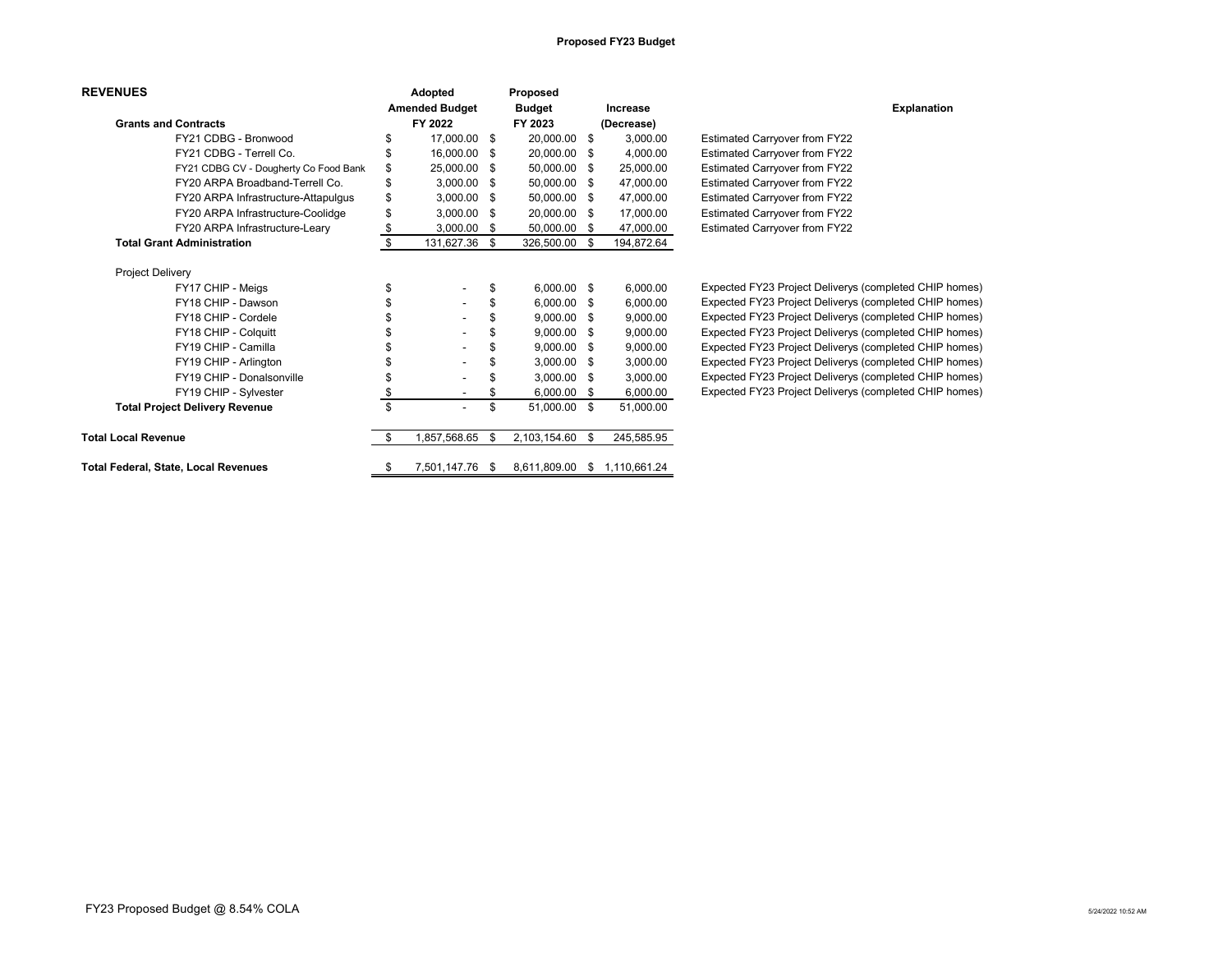## **Proposed FY23 Budget**

| <b>REVENUES</b>             |                                             | Adopted |                          |               | Proposed        |                    |                                                        |
|-----------------------------|---------------------------------------------|---------|--------------------------|---------------|-----------------|--------------------|--------------------------------------------------------|
|                             | <b>Amended Budget</b>                       |         |                          | <b>Budget</b> | Increase        | <b>Explanation</b> |                                                        |
| <b>Grants and Contracts</b> |                                             | FY 2022 |                          | FY 2023       | (Decrease)      |                    |                                                        |
|                             | FY21 CDBG - Bronwood                        | \$      | 17,000.00 \$             |               | 20,000.00 \$    | 3,000.00           | <b>Estimated Carryover from FY22</b>                   |
|                             | FY21 CDBG - Terrell Co.                     |         | 16,000.00 \$             |               | 20,000.00 \$    | 4.000.00           | <b>Estimated Carryover from FY22</b>                   |
|                             | FY21 CDBG CV - Dougherty Co Food Bank       | \$      | 25,000.00 \$             |               | 50,000.00 \$    | 25,000.00          | Estimated Carryover from FY22                          |
|                             | FY20 ARPA Broadband-Terrell Co.             |         | $3.000.00$ \$            |               | 50,000.00 \$    | 47,000.00          | <b>Estimated Carryover from FY22</b>                   |
|                             | FY20 ARPA Infrastructure-Attapulgus         | \$      | $3,000.00$ \$            |               | 50,000.00 \$    | 47,000.00          | Estimated Carryover from FY22                          |
|                             | FY20 ARPA Infrastructure-Coolidge           | \$      | $3,000.00$ \$            |               | 20,000.00 \$    | 17,000.00          | Estimated Carryover from FY22                          |
|                             | FY20 ARPA Infrastructure-Leary              |         | $3,000.00$ \$            |               | 50,000.00 \$    | 47,000.00          | Estimated Carryover from FY22                          |
|                             | <b>Total Grant Administration</b>           | \$      | 131,627.36 \$            |               | 326,500.00 \$   | 194,872.64         |                                                        |
| Project Delivery            |                                             |         |                          |               |                 |                    |                                                        |
|                             | FY17 CHIP - Meigs                           | \$      |                          | \$            | $6,000.00$ \$   | 6,000.00           | Expected FY23 Project Deliverys (completed CHIP homes) |
|                             | FY18 CHIP - Dawson                          | \$      | $\overline{\phantom{a}}$ | \$            | $6,000.00$ \$   | 6,000.00           | Expected FY23 Project Deliverys (completed CHIP homes) |
|                             | FY18 CHIP - Cordele                         |         | $\overline{\phantom{a}}$ |               | $9.000.00$ \$   | 9,000.00           | Expected FY23 Project Deliverys (completed CHIP homes) |
|                             | FY18 CHIP - Colquitt                        |         | $\overline{\phantom{a}}$ |               | $9,000.00$ \$   | 9,000.00           | Expected FY23 Project Deliverys (completed CHIP homes) |
|                             | FY19 CHIP - Camilla                         |         |                          |               | $9,000.00$ \$   | 9,000.00           | Expected FY23 Project Deliverys (completed CHIP homes) |
|                             | FY19 CHIP - Arlington                       |         |                          |               | $3,000.00$ \$   | 3,000.00           | Expected FY23 Project Deliverys (completed CHIP homes) |
|                             | FY19 CHIP - Donalsonville                   | \$      |                          | \$            | $3,000.00$ \$   | 3,000.00           | Expected FY23 Project Deliverys (completed CHIP homes) |
|                             | FY19 CHIP - Sylvester                       | \$      | $\overline{\phantom{a}}$ | \$            | $6,000.00$ \$   | 6,000.00           | Expected FY23 Project Deliverys (completed CHIP homes) |
|                             | <b>Total Project Delivery Revenue</b>       | \$      | $\overline{\phantom{a}}$ | \$            | 51.000.00 \$    | 51.000.00          |                                                        |
| <b>Total Local Revenue</b>  |                                             | -S      | ,857,568.65              | - \$          | 2,103,154.60 \$ | 245,585.95         |                                                        |
|                             | <b>Total Federal, State, Local Revenues</b> | \$      | 7,501,147.76             | - \$          | 8,611,809.00    | \$<br>1,110,661.24 |                                                        |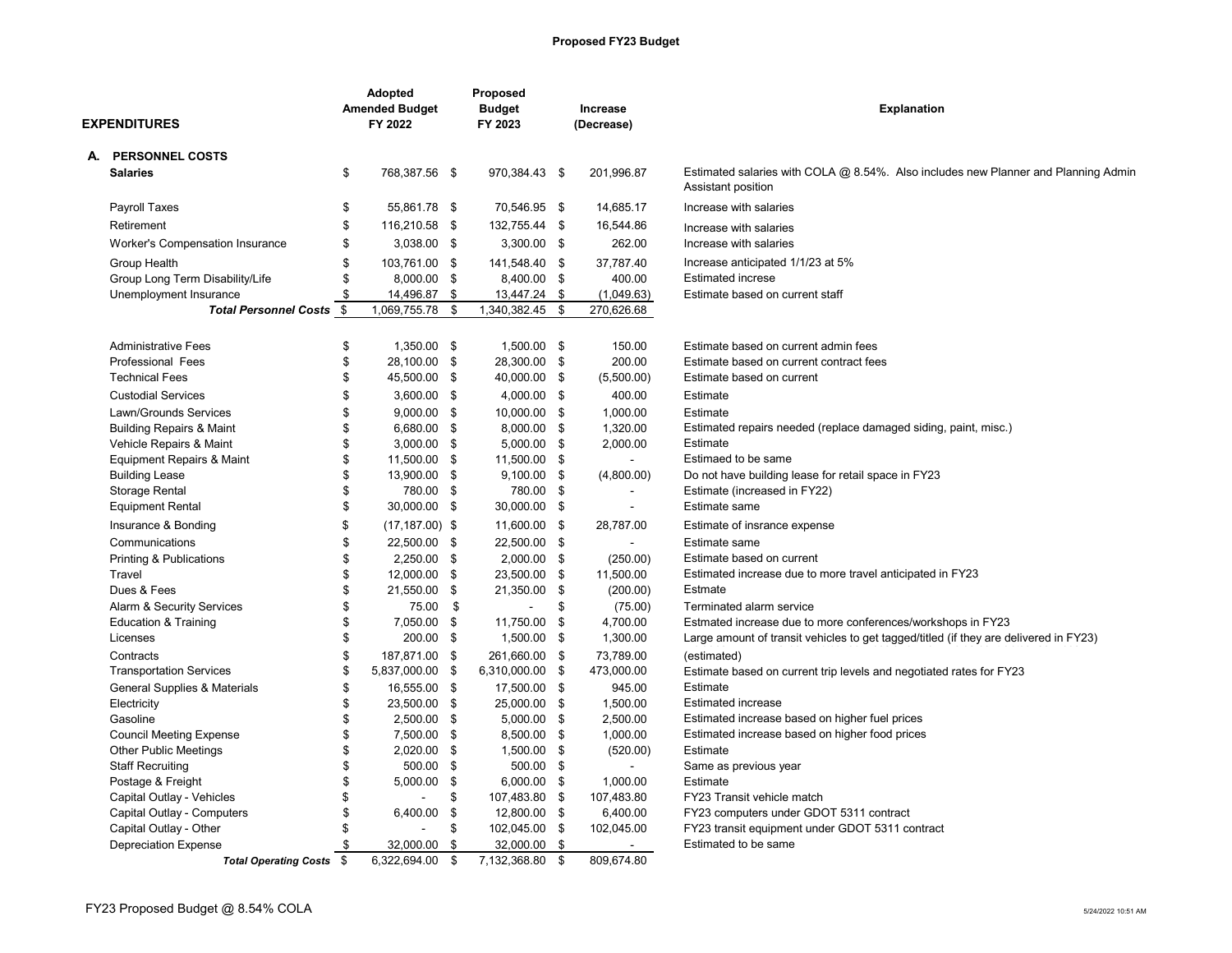## **Proposed FY23 Budget**

| <b>EXPENDITURES</b> |                                                         |          | <b>Adopted</b><br><b>Amended Budget</b><br>FY 2022 |          | Proposed<br><b>Budget</b><br>FY 2023 | Increase<br>(Decrease) | <b>Explanation</b>                                                                                       |  |
|---------------------|---------------------------------------------------------|----------|----------------------------------------------------|----------|--------------------------------------|------------------------|----------------------------------------------------------------------------------------------------------|--|
|                     | A. PERSONNEL COSTS                                      |          |                                                    |          |                                      |                        |                                                                                                          |  |
|                     | <b>Salaries</b>                                         | \$       | 768,387.56 \$                                      |          | 970,384.43 \$                        | 201,996.87             | Estimated salaries with COLA @ 8.54%. Also includes new Planner and Planning Admin<br>Assistant position |  |
|                     | Payroll Taxes                                           | \$       | 55,861.78 \$                                       |          | 70,546.95 \$                         | 14,685.17              | Increase with salaries                                                                                   |  |
|                     | Retirement                                              | \$       | 116,210.58 \$                                      |          | 132,755.44 \$                        | 16,544.86              | Increase with salaries                                                                                   |  |
|                     | Worker's Compensation Insurance                         | \$       | 3,038.00 \$                                        |          | 3,300.00 \$                          | 262.00                 | Increase with salaries                                                                                   |  |
|                     | Group Health                                            | \$       | 103,761.00 \$                                      |          | 141,548.40 \$                        | 37,787.40              | Increase anticipated 1/1/23 at 5%                                                                        |  |
|                     | Group Long Term Disability/Life                         | \$       | 8,000.00 \$                                        |          | 8,400.00 \$                          | 400.00                 | <b>Estimated increse</b>                                                                                 |  |
|                     | Unemployment Insurance                                  | \$       | 14,496.87 \$                                       |          | 13,447.24 \$                         | (1,049.63)             | Estimate based on current staff                                                                          |  |
|                     | <b>Total Personnel Costs</b>                            | \$       | 1,069,755.78                                       | \$       | 1,340,382.45 \$                      | 270,626.68             |                                                                                                          |  |
|                     | <b>Administrative Fees</b>                              | \$       | 1.350.00 \$                                        |          | 1.500.00 \$                          | 150.00                 | Estimate based on current admin fees                                                                     |  |
|                     | <b>Professional Fees</b>                                | \$       | 28,100.00 \$                                       |          | 28,300.00 \$                         | 200.00                 | Estimate based on current contract fees                                                                  |  |
|                     | <b>Technical Fees</b>                                   | \$       | 45,500.00 \$                                       |          | 40,000.00 \$                         | (5,500.00)             | Estimate based on current                                                                                |  |
|                     | <b>Custodial Services</b>                               | \$       | 3,600.00 \$                                        |          | 4,000.00 \$                          | 400.00                 | Estimate                                                                                                 |  |
|                     | Lawn/Grounds Services                                   | \$       | $9,000.00$ \$                                      |          | 10,000.00 \$                         | 1.000.00               | Estimate                                                                                                 |  |
|                     | <b>Building Repairs &amp; Maint</b>                     | \$       | 6,680.00 \$                                        |          | 8,000.00 \$                          | 1,320.00               | Estimated repairs needed (replace damaged siding, paint, misc.)                                          |  |
|                     | Vehicle Repairs & Maint                                 | \$       | $3,000.00$ \$                                      |          | 5,000.00 \$                          | 2,000.00               | Estimate                                                                                                 |  |
|                     | <b>Equipment Repairs &amp; Maint</b>                    | \$       | 11,500.00 \$                                       |          | 11,500.00 \$                         |                        | Estimaed to be same                                                                                      |  |
|                     | <b>Building Lease</b>                                   | \$<br>\$ | 13,900.00 \$                                       |          | $9,100.00$ \$                        | (4,800.00)             | Do not have building lease for retail space in FY23                                                      |  |
|                     | Storage Rental<br><b>Equipment Rental</b>               | \$       | 780.00 \$<br>30,000.00 \$                          |          | 780.00 \$<br>30,000.00 \$            |                        | Estimate (increased in FY22)<br>Estimate same                                                            |  |
|                     |                                                         |          |                                                    |          |                                      |                        |                                                                                                          |  |
|                     | Insurance & Bonding                                     | \$       | $(17, 187.00)$ \$                                  |          | 11,600.00 \$                         | 28,787.00              | Estimate of insrance expense                                                                             |  |
|                     | Communications                                          | \$       | 22,500.00 \$                                       |          | 22,500.00 \$                         | $\sim$                 | Estimate same                                                                                            |  |
|                     | Printing & Publications<br>Travel                       | \$<br>\$ | 2,250.00 \$<br>12,000.00 \$                        |          | $2,000.00$ \$<br>23,500.00 \$        | (250.00)<br>11,500.00  | Estimate based on current<br>Estimated increase due to more travel anticipated in FY23                   |  |
|                     | Dues & Fees                                             | \$       | 21,550.00 \$                                       |          | 21,350.00 \$                         | (200.00)               | Estmate                                                                                                  |  |
|                     | Alarm & Security Services                               | \$       | 75.00                                              | \$       | $\overline{a}$                       | \$<br>(75.00)          | Terminated alarm service                                                                                 |  |
|                     | <b>Education &amp; Training</b>                         | \$       | 7,050.00 \$                                        |          | 11,750.00 \$                         | 4,700.00               | Estmated increase due to more conferences/workshops in FY23                                              |  |
|                     | Licenses                                                | \$       | 200.00 \$                                          |          | 1,500.00 \$                          | 1,300.00               | Large amount of transit vehicles to get tagged/titled (if they are delivered in FY23)                    |  |
|                     | Contracts                                               | \$       | 187,871.00 \$                                      |          | 261,660.00 \$                        | 73,789.00              | (estimated)                                                                                              |  |
|                     | <b>Transportation Services</b>                          | \$       | 5,837,000.00                                       | \$       | 6,310,000.00 \$                      | 473,000.00             | Estimate based on current trip levels and negotiated rates for FY23                                      |  |
|                     | General Supplies & Materials                            | \$       | 16,555.00 \$                                       |          | 17,500.00 \$                         | 945.00                 | Estimate                                                                                                 |  |
|                     | Electricity                                             | \$       | 23,500.00 \$                                       |          | 25,000.00 \$                         | 1.500.00               | <b>Estimated increase</b>                                                                                |  |
|                     | Gasoline                                                | \$       | 2,500.00 \$                                        |          | 5,000.00 \$                          | 2,500.00               | Estimated increase based on higher fuel prices                                                           |  |
|                     | <b>Council Meeting Expense</b>                          | \$       | 7,500.00 \$                                        |          | 8,500.00 \$                          | 1,000.00               | Estimated increase based on higher food prices                                                           |  |
|                     | <b>Other Public Meetings</b>                            | \$       | 2,020.00 \$                                        |          | 1,500.00 \$                          | (520.00)               | Estimate                                                                                                 |  |
|                     | <b>Staff Recruiting</b>                                 | \$       | 500.00 \$                                          |          | 500.00 \$                            |                        | Same as previous year                                                                                    |  |
|                     | Postage & Freight                                       | \$       | 5,000.00 \$                                        |          | 6,000.00 \$                          | 1,000.00               | Estimate                                                                                                 |  |
|                     | Capital Outlay - Vehicles<br>Capital Outlay - Computers | \$<br>\$ | 6,400.00                                           | \$<br>\$ | 107,483.80 \$                        | 107,483.80<br>6,400.00 | FY23 Transit vehicle match<br>FY23 computers under GDOT 5311 contract                                    |  |
|                     | Capital Outlay - Other                                  | \$       |                                                    | \$       | 12,800.00 \$<br>102,045.00 \$        | 102,045.00             | FY23 transit equipment under GDOT 5311 contract                                                          |  |
|                     | <b>Depreciation Expense</b>                             | \$       | 32,000.00                                          | \$       | 32,000.00 \$                         |                        | Estimated to be same                                                                                     |  |
|                     | Total Operating Costs \$                                |          | 6.322.694.00                                       | \$       | 7,132,368.80 \$                      | 809.674.80             |                                                                                                          |  |
|                     |                                                         |          |                                                    |          |                                      |                        |                                                                                                          |  |